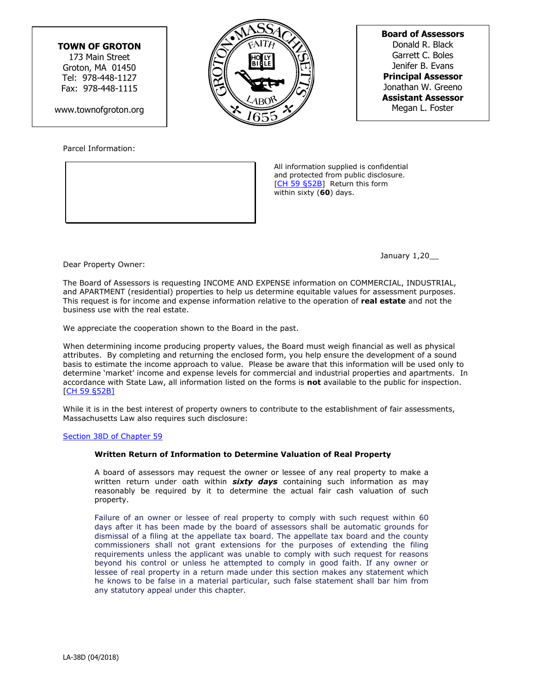## **TOWN OF GROTON**

173 Main Street Groton, MA 01450 Tel: 978-448-1127 Fax: 978-448-1115

www.townofgroton.org

Parcel Information:

 All information supplied is confidential and protected from public disclosure. [[CH 59 §52B](https://malegislature.gov/Laws/GeneralLaws/PartI/TitleIX/Chapter59/Section52B)] Return this form within sixty (**60**) days.

January 1,20\_\_

Dear Property Owner:

The Board of Assessors is requesting INCOME AND EXPENSE information on COMMERCIAL, INDUSTRIAL, and APARTMENT (residential) properties to help us determine equitable values for assessment purposes. This request is for income and expense information relative to the operation of **real estate** and not the business use with the real estate.

We appreciate the cooperation shown to the Board in the past.

When determining income producing property values, the Board must weigh financial as well as physical attributes. By completing and returning the enclosed form, you help ensure the development of a sound basis to estimate the income approach to value. Please be aware that this information will be used only to determine 'market' income and expense levels for commercial and industrial properties and apartments. In accordance with State Law, all information listed on the forms is **not** available to the public for inspection. [\[CH 59 §52B\]](https://malegislature.gov/Laws/GeneralLaws/PartI/TitleIX/Chapter59/Section52B)

While it is in the best interest of property owners to contribute to the establishment of fair assessments, Massachusetts Law also requires such disclosure:

## [Section 38D of Chapter 59](https://malegislature.gov/Laws/GeneralLaws/PartI/TitleIX/Chapter59/Section38D)

## **Written Return of Information to Determine Valuation of Real Property**

A board of assessors may request the owner or lessee of any real property to make a written return under oath within *sixty days* containing such information as may reasonably be required by it to determine the actual fair cash valuation of such property.

Failure of an owner or lessee of real property to comply with such request within 60 days after it has been made by the board of assessors shall be automatic grounds for dismissal of a filing at the appellate tax board. The appellate tax board and the county commissioners shall not grant extensions for the purposes of extending the filing requirements unless the applicant was unable to comply with such request for reasons beyond his control or unless he attempted to comply in good faith. If any owner or lessee of real property in a return made under this section makes any statement which he knows to be false in a material particular, such false statement shall bar him from any statutory appeal under this chapter.



**Board of Assessors** Donald R. Black Garrett C. Boles Jenifer B. Evans **Principal Assessor** Jonathan W. Greeno **Assistant Assessor** Megan L. Foster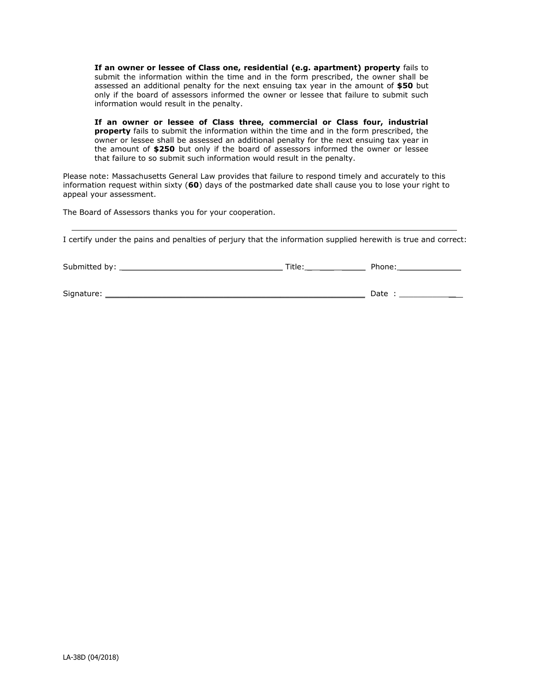**If an owner or lessee of Class one, residential (e.g. apartment) property** fails to submit the information within the time and in the form prescribed, the owner shall be assessed an additional penalty for the next ensuing tax year in the amount of **\$50** but only if the board of assessors informed the owner or lessee that failure to submit such information would result in the penalty.

**If an owner or lessee of Class three, commercial or Class four, industrial property** fails to submit the information within the time and in the form prescribed, the owner or lessee shall be assessed an additional penalty for the next ensuing tax year in the amount of **\$250** but only if the board of assessors informed the owner or lessee that failure to so submit such information would result in the penalty.

Please note: Massachusetts General Law provides that failure to respond timely and accurately to this information request within sixty (**60**) days of the postmarked date shall cause you to lose your right to appeal your assessment.

The Board of Assessors thanks you for your cooperation.

I certify under the pains and penalties of perjury that the information supplied herewith is true and correct:

| Submitted by: | T:L<br>ntie: | Phone: |
|---------------|--------------|--------|
|               |              |        |

Signature: \_\_\_\_\_\_\_\_\_\_\_\_\_\_\_\_\_\_\_\_\_\_\_\_\_\_\_\_\_\_\_\_\_\_\_\_\_\_\_\_\_\_\_\_\_\_\_\_\_\_\_\_\_\_\_ Date : \_\_\_\_\_\_\_\_\_\_\_\_